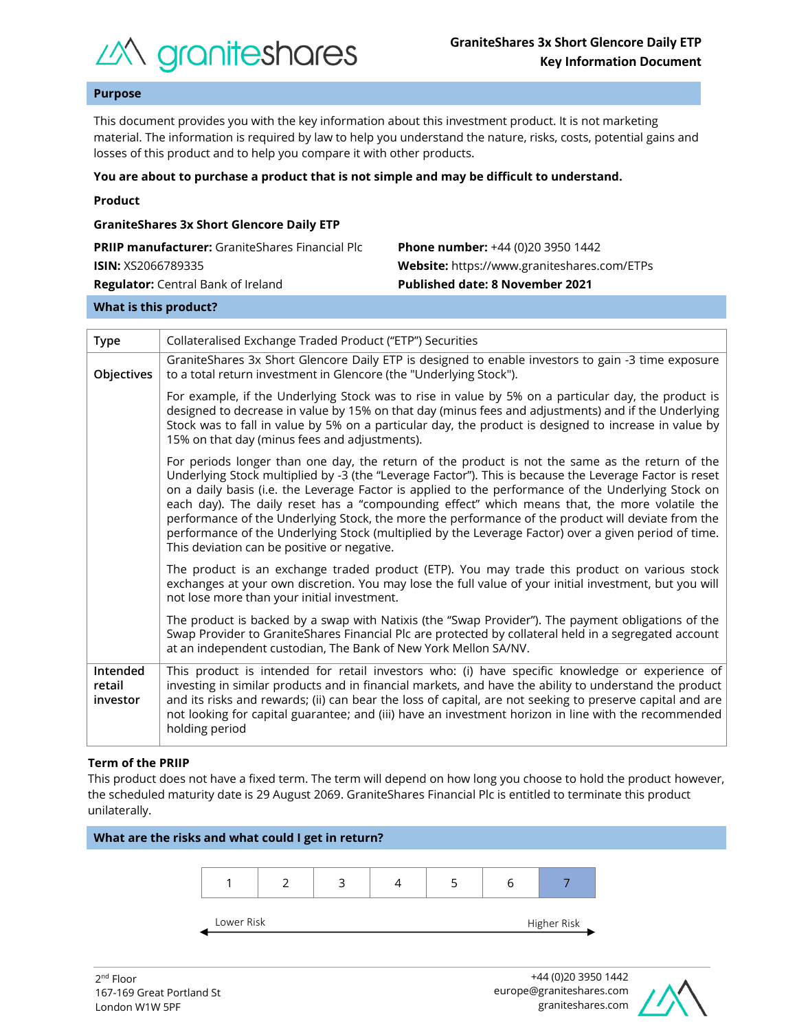

# **Purpose**

This document provides you with the key information about this investment product. It is not marketing material. The information is required by law to help you understand the nature, risks, costs, potential gains and losses of this product and to help you compare it with other products.

#### **You are about to purchase a product that is not simple and may be difficult to understand.**

| Product |
|---------|
|         |

| <b>GraniteShares 3x Short Glencore Daily ETP</b>       |                                             |  |  |  |  |
|--------------------------------------------------------|---------------------------------------------|--|--|--|--|
| <b>PRIIP manufacturer:</b> GraniteShares Financial Plc | <b>Phone number:</b> +44 (0)20 3950 1442    |  |  |  |  |
| <b>ISIN:</b> XS2066789335                              | Website: https://www.graniteshares.com/ETPs |  |  |  |  |
| <b>Regulator:</b> Central Bank of Ireland              | <b>Published date: 8 November 2021</b>      |  |  |  |  |
|                                                        |                                             |  |  |  |  |

#### **What is this product?**

| <b>Type</b>                    | Collateralised Exchange Traded Product ("ETP") Securities                                                                                                                                                                                                                                                                                                                                                                                                                                                                                                                                                                                                                       |  |  |  |  |
|--------------------------------|---------------------------------------------------------------------------------------------------------------------------------------------------------------------------------------------------------------------------------------------------------------------------------------------------------------------------------------------------------------------------------------------------------------------------------------------------------------------------------------------------------------------------------------------------------------------------------------------------------------------------------------------------------------------------------|--|--|--|--|
| Objectives                     | GraniteShares 3x Short Glencore Daily ETP is designed to enable investors to gain -3 time exposure<br>to a total return investment in Glencore (the "Underlying Stock").                                                                                                                                                                                                                                                                                                                                                                                                                                                                                                        |  |  |  |  |
|                                | For example, if the Underlying Stock was to rise in value by 5% on a particular day, the product is<br>designed to decrease in value by 15% on that day (minus fees and adjustments) and if the Underlying<br>Stock was to fall in value by 5% on a particular day, the product is designed to increase in value by<br>15% on that day (minus fees and adjustments).                                                                                                                                                                                                                                                                                                            |  |  |  |  |
|                                | For periods longer than one day, the return of the product is not the same as the return of the<br>Underlying Stock multiplied by -3 (the "Leverage Factor"). This is because the Leverage Factor is reset<br>on a daily basis (i.e. the Leverage Factor is applied to the performance of the Underlying Stock on<br>each day). The daily reset has a "compounding effect" which means that, the more volatile the<br>performance of the Underlying Stock, the more the performance of the product will deviate from the<br>performance of the Underlying Stock (multiplied by the Leverage Factor) over a given period of time.<br>This deviation can be positive or negative. |  |  |  |  |
|                                | The product is an exchange traded product (ETP). You may trade this product on various stock<br>exchanges at your own discretion. You may lose the full value of your initial investment, but you will<br>not lose more than your initial investment.                                                                                                                                                                                                                                                                                                                                                                                                                           |  |  |  |  |
|                                | The product is backed by a swap with Natixis (the "Swap Provider"). The payment obligations of the<br>Swap Provider to GraniteShares Financial Plc are protected by collateral held in a segregated account<br>at an independent custodian, The Bank of New York Mellon SA/NV.                                                                                                                                                                                                                                                                                                                                                                                                  |  |  |  |  |
| Intended<br>retail<br>investor | This product is intended for retail investors who: (i) have specific knowledge or experience of<br>investing in similar products and in financial markets, and have the ability to understand the product<br>and its risks and rewards; (ii) can bear the loss of capital, are not seeking to preserve capital and are<br>not looking for capital guarantee; and (iii) have an investment horizon in line with the recommended<br>holding period                                                                                                                                                                                                                                |  |  |  |  |

#### **Term of the PRIIP**

This product does not have a fixed term. The term will depend on how long you choose to hold the product however, the scheduled maturity date is 29 August 2069. GraniteShares Financial Plc is entitled to terminate this product unilaterally.



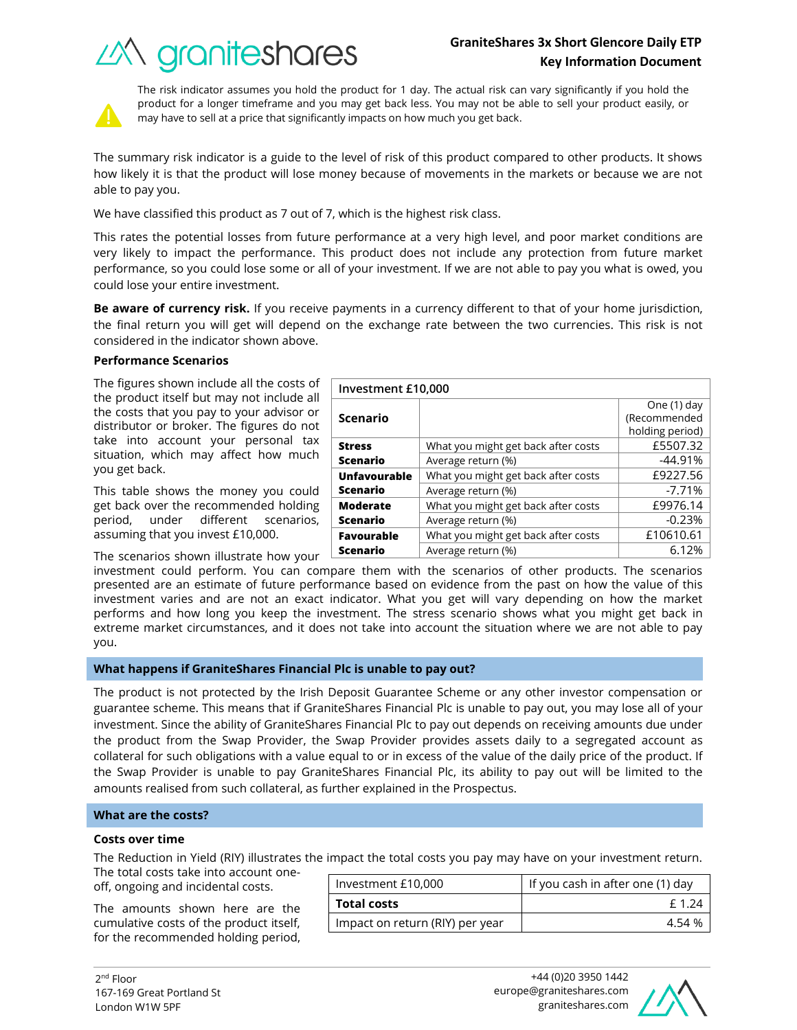# **GraniteShares 3x Short Glencore Daily ETP Key Information Document**

What you might get back after costs Full E5507.32 Average return (%) and the set of the set of the set of the set of the set of the set of the set of the set of the set of the set of the set of the set of the set of the set of the set of the set of the set of the set of t

What you might get back after costs | £9227.56 Average return  $(\%)$   $\qquad \qquad$   $\qquad \qquad$  -7.71%

What you might get back after costs | £9976.14 Average return (%) and the control of the control of  $-0.23\%$ 





The risk indicator assumes you hold the product for 1 day. The actual risk can vary significantly if you hold the product for a longer timeframe and you may get back less. You may not be able to sell your product easily, or may have to sell at a price that significantly impacts on how much you get back.

The summary risk indicator is a guide to the level of risk of this product compared to other products. It shows how likely it is that the product will lose money because of movements in the markets or because we are not able to pay you.

We have classified this product as 7 out of 7, which is the highest risk class.

This rates the potential losses from future performance at a very high level, and poor market conditions are very likely to impact the performance. This product does not include any protection from future market performance, so you could lose some or all of your investment. If we are not able to pay you what is owed, you could lose your entire investment.

**Be aware of currency risk.** If you receive payments in a currency different to that of your home jurisdiction, the final return you will get will depend on the exchange rate between the two currencies. This risk is not considered in the indicator shown above.

**Investment £10,000**

**Scenario**

**Unfavourable Scenario**

**Moderate Scenario**

**Stress Scenario**

## **Performance Scenarios**

The figures shown include all the costs of the product itself but may not include all the costs that you pay to your advisor or distributor or broker. The figures do not take into account your personal tax situation, which may affect how much you get back.

This table shows the money you could get back over the recommended holding period, under different scenarios, assuming that you invest £10,000.

The scenarios shown illustrate how your

investment could perform. You can compare them with the scenarios of other products. The scenarios presented are an estimate of future performance based on evidence from the past on how the value of this investment varies and are not an exact indicator. What you get will vary depending on how the market performs and how long you keep the investment. The stress scenario shows what you might get back in extreme market circumstances, and it does not take into account the situation where we are not able to pay you. **Favourable Scenario** What you might get back after costs  $\vert$  £10610.61 Average return (%) and the set of the set of the 6.12%

## **What happens if GraniteShares Financial Plc is unable to pay out?**

The product is not protected by the Irish Deposit Guarantee Scheme or any other investor compensation or guarantee scheme. This means that if GraniteShares Financial Plc is unable to pay out, you may lose all of your investment. Since the ability of GraniteShares Financial Plc to pay out depends on receiving amounts due under the product from the Swap Provider, the Swap Provider provides assets daily to a segregated account as collateral for such obligations with a value equal to or in excess of the value of the daily price of the product. If the Swap Provider is unable to pay GraniteShares Financial Plc, its ability to pay out will be limited to the amounts realised from such collateral, as further explained in the Prospectus.

## **What are the costs?**

#### **Costs over time**

The Reduction in Yield (RIY) illustrates the impact the total costs you pay may have on your investment return.

The total costs take into account oneoff, ongoing and incidental costs.

The amounts shown here are the cumulative costs of the product itself, for the recommended holding period,

| Investment £10,000              | If you cash in after one (1) day |  |
|---------------------------------|----------------------------------|--|
| <b>Total costs</b>              | f 1 24                           |  |
| Impact on return (RIY) per year | 4 54 %                           |  |



One (1) day (Recommended holding period)